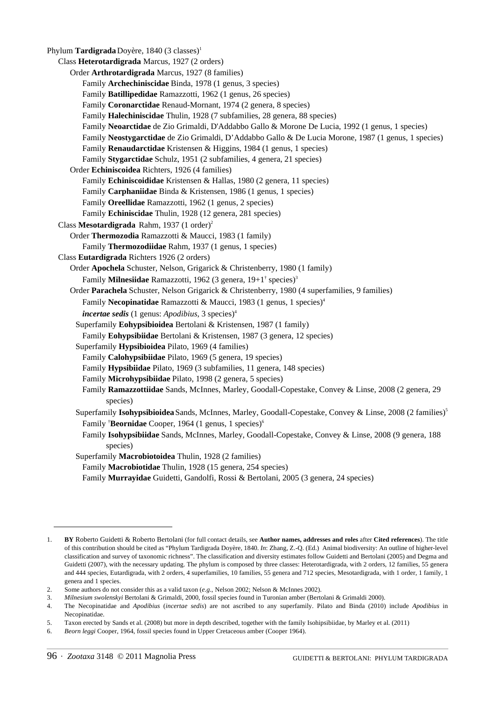Phylum **Tardigrada** Doyère, 1840 (3 classes)<sup>1</sup> Class **Heterotardigrada** Marcus, 1927 (2 orders) Order **Arthrotardigrada** Marcus, 1927 (8 families) Family **Archechiniscidae** Binda, 1978 (1 genus, 3 species) Family **Batillipedidae** Ramazzotti, 1962 (1 genus, 26 species) Family **Coronarctidae** Renaud-Mornant, 1974 (2 genera, 8 species) Family **Halechiniscidae** Thulin, 1928 (7 subfamilies, 28 genera, 88 species) Family **Neoarctidae** de Zio Grimaldi, D'Addabbo Gallo & Morone De Lucia, 1992 (1 genus, 1 species) Family **Neostygarctidae** de Zio Grimaldi, D'Addabbo Gallo & De Lucia Morone, 1987 (1 genus, 1 species) Family **Renaudarctidae** Kristensen & Higgins, 1984 (1 genus, 1 species) Family **Stygarctidae** Schulz, 1951 (2 subfamilies, 4 genera, 21 species) Order **Echiniscoidea** Richters, 1926 (4 families) Family **Echiniscoididae** Kristensen & Hallas, 1980 (2 genera, 11 species) Family **Carphaniidae** Binda & Kristensen, 1986 (1 genus, 1 species) Family **Oreellidae** Ramazzotti, 1962 (1 genus, 2 species) Family **Echiniscidae** Thulin, 1928 (12 genera, 281 species) Class **Mesotardigrada** Rahm, 1937 (1 order)<sup>2</sup> Order **Thermozodia** Ramazzotti & Maucci, 1983 (1 family) Family **Thermozodiidae** Rahm, 1937 (1 genus, 1 species) Class **Eutardigrada** Richters 1926 (2 orders) Order **Apochela** Schuster, Nelson, Grigarick & Christenberry, 1980 (1 family) Family Milnesiidae Ramazzotti, 1962 (3 genera, 19+1<sup>†</sup> species)<sup>3</sup> Order **Parachela** Schuster, Nelson Grigarick & Christenberry, 1980 (4 superfamilies, 9 families) Family **Necopinatidae** Ramazzotti & Maucci, 1983 (1 genus, 1 species)<sup>4</sup> *incertae sedis* (1 genus: *Apodibius*, 3 species)<sup>4</sup> Superfamily **Eohypsibioidea** Bertolani & Kristensen, 1987 (1 family) Family **Eohypsibiidae** Bertolani & Kristensen, 1987 (3 genera, 12 species) Superfamily **Hypsibioidea** Pilato, 1969 (4 families) Family **Calohypsibiidae** Pilato, 1969 (5 genera, 19 species) Family **Hypsibiidae** Pilato, 1969 (3 subfamilies, 11 genera, 148 species) Family **Microhypsibiidae** Pilato, 1998 (2 genera, 5 species) Family **Ramazzottiidae** Sands, McInnes, Marley, Goodall-Copestake, Convey & Linse, 2008 (2 genera, 29 species) Superfamily **Isohypsibioidea**Sands, McInnes, Marley, Goodall-Copestake, Convey & Linse, 2008 (2 families)5 Family <sup>†</sup>**Beornidae** Cooper, 1964 (1 genus, 1 species)<sup>6</sup> Family **Isohypsibiidae** Sands, McInnes, Marley, Goodall-Copestake, Convey & Linse, 2008 (9 genera, 188 species) Superfamily **Macrobiotoidea** Thulin, 1928 (2 families) Family **Macrobiotidae** Thulin, 1928 (15 genera, 254 species) Family **Murrayidae** Guidetti, Gandolfi, Rossi & Bertolani, 2005 (3 genera, 24 species)

<sup>1.</sup> **BY** Roberto Guidetti & Roberto Bertolani (for full contact details, see **Author names, addresses and roles** after **Cited references**). The title of this contribution should be cited as "Phylum Tardigrada Doyère, 1840. *In*: Zhang, Z.-Q. (Ed.) Animal biodiversity: An outline of higher-level classification and survey of taxonomic richness". The classification and diversity estimates follow Guidetti and Bertolani (2005) and Degma and Guidetti (2007), with the necessary updating. The phylum is composed by three classes: Heterotardigrada, with 2 orders, 12 families, 55 genera and 444 species, Eutardigrada, with 2 orders, 4 superfamilies, 10 families, 55 genera and 712 species, Mesotardigrada, with 1 order, 1 family, 1 genera and 1 species.

<sup>2.</sup> Some authors do not consider this as a valid taxon (*e.g.*, Nelson 2002; Nelson & McInnes 2002).

<sup>3.</sup> *Milnesium swolenskyi* Bertolani & Grimaldi, 2000, fossil species found in Turonian amber (Bertolani & Grimaldi 2000).

<sup>4.</sup> The Necopinatidae and *Apodibius* (*incertae sedis*) are not ascribed to any superfamily. Pilato and Binda (2010) include *Apodibius* in Necopinatidae.

<sup>5.</sup> Taxon erected by Sands et al. (2008) but more in depth described, together with the family Isohipsibiidae, by Marley et al. (2011)

<sup>6.</sup> *Beorn leggi* Cooper, 1964, fossil species found in Upper Cretaceous amber (Cooper 1964).